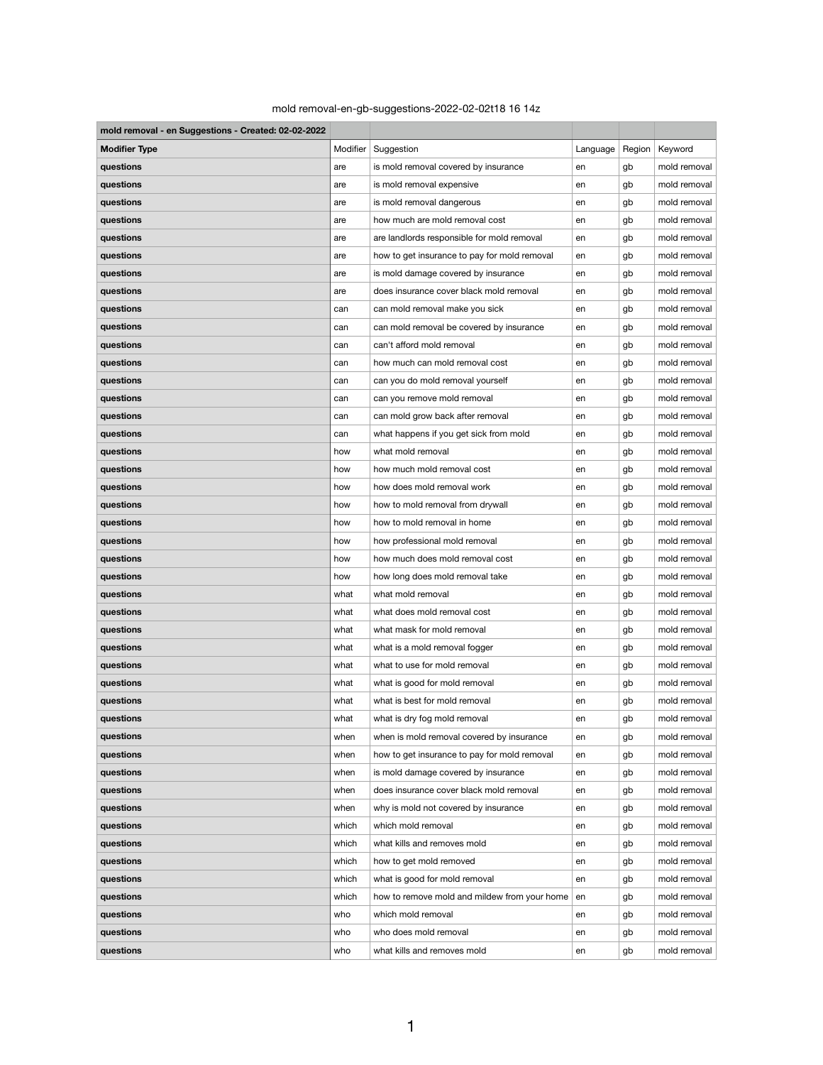## mold removal-en-gb-suggestions-2022-02-02t18 16 14z

| mold removal - en Suggestions - Created: 02-02-2022 |          |                                                 |          |        |              |  |
|-----------------------------------------------------|----------|-------------------------------------------------|----------|--------|--------------|--|
| <b>Modifier Type</b>                                | Modifier | Suggestion                                      | Language | Region | Keyword      |  |
| questions                                           | are      | is mold removal covered by insurance            | en       | gb     | mold removal |  |
| questions                                           | are      | is mold removal expensive                       | en       | gb     | mold removal |  |
| questions                                           | are      | is mold removal dangerous                       | en       | gb     | mold removal |  |
| questions                                           | are      | how much are mold removal cost                  | en       | gb     | mold removal |  |
| questions                                           | are      | are landlords responsible for mold removal      | en       | gb     | mold removal |  |
| questions                                           | are      | how to get insurance to pay for mold removal    | en       | gb     | mold removal |  |
| questions                                           | are      | is mold damage covered by insurance             | en       | gb     | mold removal |  |
| questions                                           | are      | does insurance cover black mold removal         | en       | gb     | mold removal |  |
| questions                                           | can      | can mold removal make you sick                  | en       | gb     | mold removal |  |
| questions                                           | can      | can mold removal be covered by insurance        | en       | gb     | mold removal |  |
| questions                                           | can      | can't afford mold removal                       | en       | gb     | mold removal |  |
| questions                                           | can      | how much can mold removal cost                  | en       | gb     | mold removal |  |
| questions                                           | can      | can you do mold removal yourself                | en       | gb     | mold removal |  |
| questions                                           | can      | can you remove mold removal                     | en       | gb     | mold removal |  |
| questions                                           | can      | can mold grow back after removal                | en       | gb     | mold removal |  |
| questions                                           | can      | what happens if you get sick from mold          | en       | gb     | mold removal |  |
| questions                                           | how      | what mold removal                               | en       | gb     | mold removal |  |
| questions                                           | how      | how much mold removal cost                      | en       | gb     | mold removal |  |
| questions                                           | how      | how does mold removal work                      | en       | gb     | mold removal |  |
| questions                                           | how      | how to mold removal from drywall                | en       | gb     | mold removal |  |
| questions                                           | how      | how to mold removal in home                     | en       | gb     | mold removal |  |
| questions                                           | how      | how professional mold removal                   | en       | gb     | mold removal |  |
| questions                                           | how      | how much does mold removal cost                 | en       | gb     | mold removal |  |
| questions                                           | how      | how long does mold removal take                 | en       | gb     | mold removal |  |
| questions                                           | what     | what mold removal                               | en       | gb     | mold removal |  |
| questions                                           | what     | what does mold removal cost                     | en       | gb     | mold removal |  |
| questions                                           | what     | what mask for mold removal                      | en       | gb     | mold removal |  |
| questions                                           | what     | what is a mold removal fogger                   | en       | gb     | mold removal |  |
| questions                                           | what     | what to use for mold removal                    | en       | gb     | mold removal |  |
| questions                                           | what     | what is good for mold removal                   | en       | gb     | mold removal |  |
| questions                                           | what     | what is best for mold removal                   | en       | gb     | mold removal |  |
| questions                                           | what     | what is dry fog mold removal                    | en       | gb     | mold removal |  |
| questions                                           | when     | when is mold removal covered by insurance       | en       | gb     | mold removal |  |
| questions                                           | when     | how to get insurance to pay for mold removal    | en       | gb     | mold removal |  |
| questions                                           | when     | is mold damage covered by insurance             | en       | gb     | mold removal |  |
| questions                                           | when     | does insurance cover black mold removal         | en       | gb     | mold removal |  |
| questions                                           | when     | why is mold not covered by insurance            | en       | gb     | mold removal |  |
| questions                                           | which    | which mold removal                              | en       | gb     | mold removal |  |
| questions                                           | which    | what kills and removes mold                     | en       | gb     | mold removal |  |
| questions                                           | which    | how to get mold removed                         | en       | gb     | mold removal |  |
| questions                                           | which    | what is good for mold removal                   | en       | gb     | mold removal |  |
| questions                                           | which    | how to remove mold and mildew from your home en |          | gb     | mold removal |  |
| questions                                           | who      | which mold removal                              | en       | gb     | mold removal |  |
| questions                                           | who      | who does mold removal                           | en       | gb     | mold removal |  |
| questions                                           | who      | what kills and removes mold                     | en       | gb     | mold removal |  |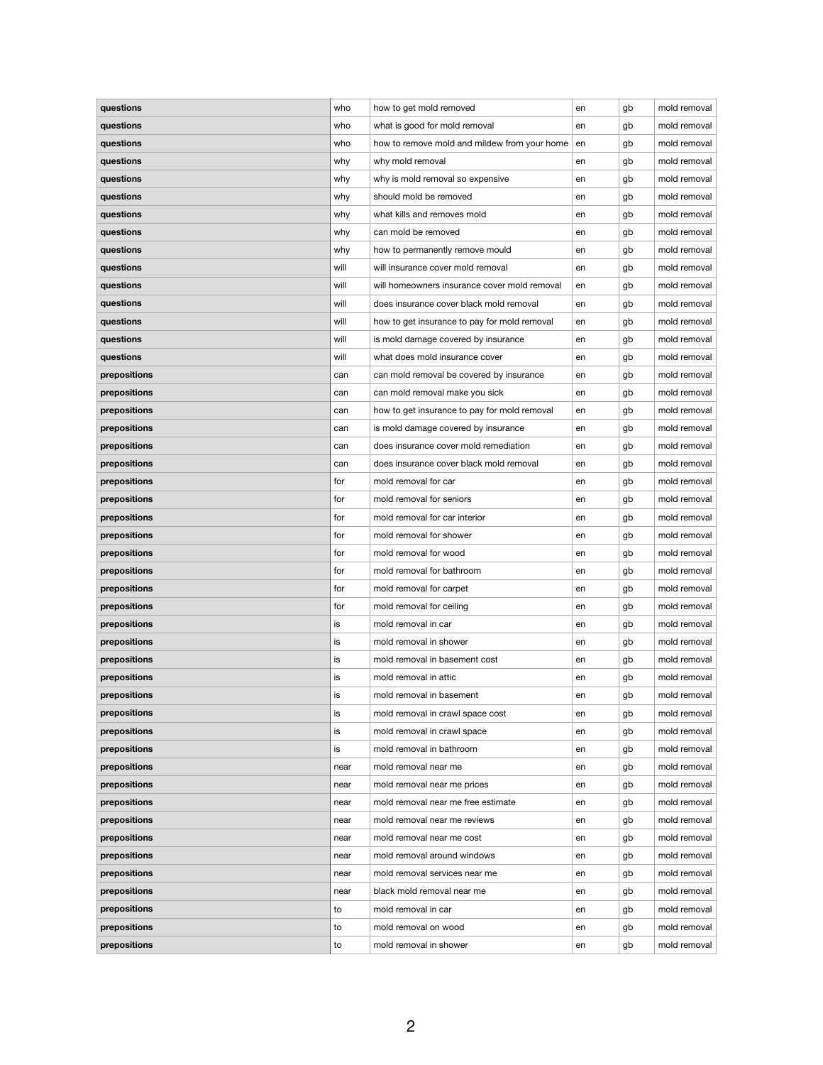| questions    | who  | how to get mold removed                      | en | gb | mold removal |
|--------------|------|----------------------------------------------|----|----|--------------|
| questions    | who  | what is good for mold removal                | en | gb | mold removal |
| questions    | who  | how to remove mold and mildew from your home | en | gb | mold removal |
| questions    | why  | why mold removal                             | en | gb | mold removal |
| questions    | why  | why is mold removal so expensive             | en | gb | mold removal |
| questions    | why  | should mold be removed                       | en | gb | mold removal |
| questions    | why  | what kills and removes mold                  | en | gb | mold removal |
| questions    | why  | can mold be removed                          | en | gb | mold removal |
| questions    | why  | how to permanently remove mould              | en | gb | mold removal |
| questions    | will | will insurance cover mold removal            | en | gb | mold removal |
| questions    | will | will homeowners insurance cover mold removal | en | gb | mold removal |
| questions    | will | does insurance cover black mold removal      | en | gb | mold removal |
| questions    | will | how to get insurance to pay for mold removal | en | gb | mold removal |
| questions    | will | is mold damage covered by insurance          |    |    | mold removal |
|              |      | what does mold insurance cover               | en | gb | mold removal |
| questions    | will |                                              | en | gb |              |
| prepositions | can  | can mold removal be covered by insurance     | en | gb | mold removal |
| prepositions | can  | can mold removal make you sick               | en | gb | mold removal |
| prepositions | can  | how to get insurance to pay for mold removal | en | gb | mold removal |
| prepositions | can  | is mold damage covered by insurance          | en | gb | mold removal |
| prepositions | can  | does insurance cover mold remediation        | en | gb | mold removal |
| prepositions | can  | does insurance cover black mold removal      | en | gb | mold removal |
| prepositions | for  | mold removal for car                         | en | gb | mold removal |
| prepositions | for  | mold removal for seniors                     | en | gb | mold removal |
| prepositions | for  | mold removal for car interior                | en | gb | mold removal |
| prepositions | for  | mold removal for shower                      | en | gb | mold removal |
| prepositions | for  | mold removal for wood                        | en | gb | mold removal |
| prepositions | for  | mold removal for bathroom                    | en | gb | mold removal |
| prepositions | for  | mold removal for carpet                      | en | gb | mold removal |
| prepositions | for  | mold removal for ceiling                     | en | gb | mold removal |
| prepositions | is   | mold removal in car                          | en | gb | mold removal |
| prepositions | is   | mold removal in shower                       | en | gb | mold removal |
| prepositions | is   | mold removal in basement cost                | en | gb | mold removal |
| prepositions | is   | mold removal in attic                        | en | gb | mold removal |
| prepositions | is   | mold removal in basement                     | en | gb | mold removal |
| prepositions | is   | mold removal in crawl space cost             | en | gb | mold removal |
| prepositions | is   | mold removal in crawl space                  | en | gb | mold removal |
| prepositions | is   | mold removal in bathroom                     | en | gb | mold removal |
| prepositions | near | mold removal near me                         |    |    | mold removal |
|              |      |                                              | en | gb | mold removal |
| prepositions | near | mold removal near me prices                  | en | gb |              |
| prepositions | near | mold removal near me free estimate           | en | gb | mold removal |
| prepositions | near | mold removal near me reviews                 | en | gb | mold removal |
| prepositions | near | mold removal near me cost                    | en | gb | mold removal |
| prepositions | near | mold removal around windows                  | en | gb | mold removal |
| prepositions | near | mold removal services near me                | en | gb | mold removal |
| prepositions | near | black mold removal near me                   | en | gb | mold removal |
| prepositions | to   | mold removal in car                          | en | gb | mold removal |
| prepositions | to   | mold removal on wood                         | en | gb | mold removal |
| prepositions | to   | mold removal in shower                       | en | gb | mold removal |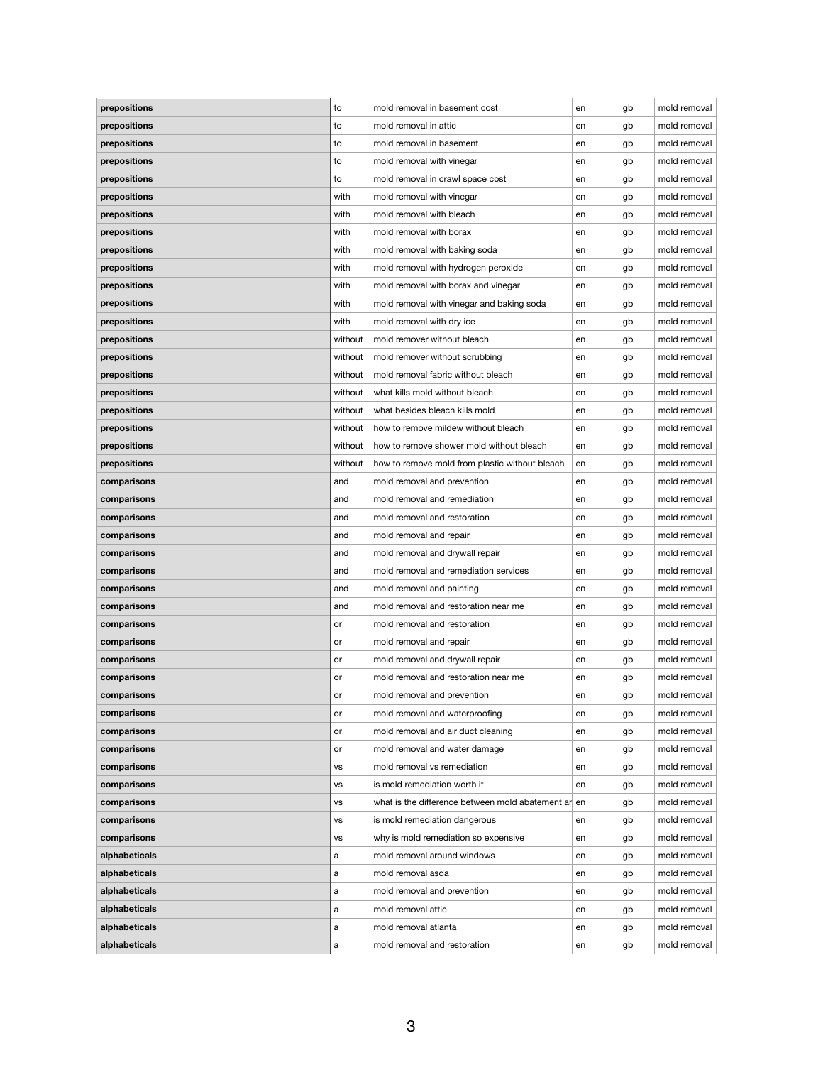| prepositions  | to        | mold removal in basement cost                       | en | gb | mold removal |
|---------------|-----------|-----------------------------------------------------|----|----|--------------|
| prepositions  | to        | mold removal in attic                               | en | gb | mold removal |
| prepositions  | to        | mold removal in basement                            | en | gb | mold removal |
| prepositions  | to        | mold removal with vinegar                           | en | gb | mold removal |
| prepositions  | to        | mold removal in crawl space cost                    | en | gb | mold removal |
| prepositions  | with      | mold removal with vinegar                           | en | gb | mold removal |
| prepositions  | with      | mold removal with bleach                            | en | gb | mold removal |
| prepositions  | with      | mold removal with borax                             | en | gb | mold removal |
| prepositions  | with      | mold removal with baking soda                       | en | gb | mold removal |
| prepositions  | with      | mold removal with hydrogen peroxide                 | en | gb | mold removal |
| prepositions  | with      | mold removal with borax and vinegar                 | en | gb | mold removal |
| prepositions  | with      | mold removal with vinegar and baking soda           | en | gb | mold removal |
| prepositions  | with      | mold removal with dry ice                           | en | gb | mold removal |
| prepositions  | without   | mold remover without bleach                         | en | gb | mold removal |
| prepositions  | without   | mold remover without scrubbing                      | en | gb | mold removal |
| prepositions  | without   | mold removal fabric without bleach                  | en | gb | mold removal |
| prepositions  | without   | what kills mold without bleach                      | en | gb | mold removal |
| prepositions  | without   | what besides bleach kills mold                      | en | gb | mold removal |
| prepositions  | without   | how to remove mildew without bleach                 | en | gb | mold removal |
| prepositions  | without   | how to remove shower mold without bleach            | en | gb | mold removal |
| prepositions  | without   | how to remove mold from plastic without bleach      | en | gb | mold removal |
| comparisons   | and       | mold removal and prevention                         | en | gb | mold removal |
| comparisons   | and       | mold removal and remediation                        | en | gb | mold removal |
| comparisons   | and       | mold removal and restoration                        | en | gb | mold removal |
| comparisons   | and       | mold removal and repair                             | en |    | mold removal |
|               |           | mold removal and drywall repair                     |    | gb | mold removal |
| comparisons   | and       |                                                     | en | gb |              |
| comparisons   | and       | mold removal and remediation services               | en | gb | mold removal |
| comparisons   | and       | mold removal and painting                           | en | gb | mold removal |
| comparisons   | and       | mold removal and restoration near me                | en | gb | mold removal |
| comparisons   | or        | mold removal and restoration                        | en | gb | mold removal |
| comparisons   | or        | mold removal and repair                             | en | gb | mold removal |
| comparisons   | or        | mold removal and drywall repair                     | en | gb | mold removal |
| comparisons   | or        | mold removal and restoration near me                | en | gb | mold removal |
| comparisons   | or        | mold removal and prevention                         | en | gb | mold removal |
| comparisons   | or        | mold removal and waterproofing                      | en | gb | mold removal |
| comparisons   | or        | mold removal and air duct cleaning                  | en | gb | mold removal |
| comparisons   | or        | mold removal and water damage                       | en | gb | mold removal |
| comparisons   | VS        | mold removal vs remediation                         | en | gb | mold removal |
| comparisons   | <b>VS</b> | is mold remediation worth it                        | en | gb | mold removal |
| comparisons   | <b>VS</b> | what is the difference between mold abatement ar en |    | gb | mold removal |
| comparisons   | <b>VS</b> | is mold remediation dangerous                       | en | gb | mold removal |
| comparisons   | vs        | why is mold remediation so expensive                | en | gb | mold removal |
| alphabeticals | a         | mold removal around windows                         | en | gb | mold removal |
| alphabeticals | a         | mold removal asda                                   | en | gb | mold removal |
| alphabeticals | а         | mold removal and prevention                         | en | gb | mold removal |
| alphabeticals | a         | mold removal attic                                  | en | gb | mold removal |
| alphabeticals | a         | mold removal atlanta                                | en | gb | mold removal |
| alphabeticals | a         | mold removal and restoration                        | en | gb | mold removal |
|               |           |                                                     |    |    |              |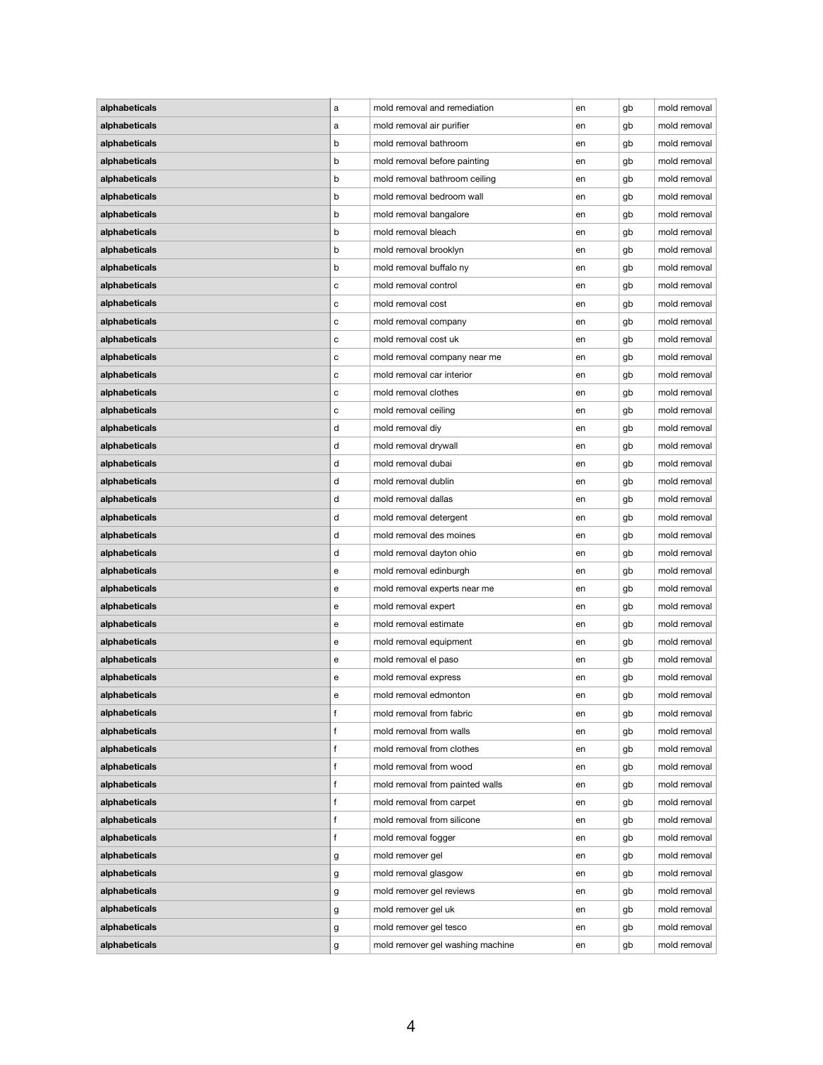| alphabeticals | a            | mold removal and remediation     | en | gb | mold removal |
|---------------|--------------|----------------------------------|----|----|--------------|
| alphabeticals | a            | mold removal air purifier        | en | gb | mold removal |
| alphabeticals | b            | mold removal bathroom            | en | gb | mold removal |
| alphabeticals | b            | mold removal before painting     | en | gb | mold removal |
| alphabeticals | b            | mold removal bathroom ceiling    | en | gb | mold removal |
| alphabeticals | b            | mold removal bedroom wall        | en | gb | mold removal |
| alphabeticals | b            | mold removal bangalore           | en | gb | mold removal |
| alphabeticals | b            | mold removal bleach              | en | gb | mold removal |
| alphabeticals | b            | mold removal brooklyn            | en | gb | mold removal |
| alphabeticals | b            | mold removal buffalo ny          | en | gb | mold removal |
| alphabeticals | C            | mold removal control             | en | gb | mold removal |
| alphabeticals | с            | mold removal cost                | en | gb | mold removal |
| alphabeticals | C            | mold removal company             | en | gb | mold removal |
| alphabeticals |              | mold removal cost uk             |    |    | mold removal |
|               | C            |                                  | en | gb |              |
| alphabeticals | с            | mold removal company near me     | en | gb | mold removal |
| alphabeticals | $\mathbf C$  | mold removal car interior        | en | gb | mold removal |
| alphabeticals | с            | mold removal clothes             | en | gb | mold removal |
| alphabeticals | с            | mold removal ceiling             | en | gb | mold removal |
| alphabeticals | d            | mold removal diy                 | en | gb | mold removal |
| alphabeticals | d            | mold removal drywall             | en | gb | mold removal |
| alphabeticals | d            | mold removal dubai               | en | gb | mold removal |
| alphabeticals | d            | mold removal dublin              | en | gb | mold removal |
| alphabeticals | d            | mold removal dallas              | en | gb | mold removal |
| alphabeticals | d            | mold removal detergent           | en | gb | mold removal |
| alphabeticals | d            | mold removal des moines          | en | gb | mold removal |
| alphabeticals | d            | mold removal dayton ohio         | en | gb | mold removal |
| alphabeticals | е            | mold removal edinburgh           | en | gb | mold removal |
| alphabeticals | е            | mold removal experts near me     | en | gb | mold removal |
| alphabeticals | е            | mold removal expert              | en | gb | mold removal |
| alphabeticals | е            | mold removal estimate            | en | gb | mold removal |
| alphabeticals | е            | mold removal equipment           | en | gb | mold removal |
| alphabeticals | е            | mold removal el paso             | en | gb | mold removal |
| alphabeticals | е            | mold removal express             | en | gb | mold removal |
| alphabeticals | e            | mold removal edmonton            | en | gb | mold removal |
| alphabeticals | $\mathbf{f}$ | mold removal from fabric         | en | gb | mold removal |
| alphabeticals | $\mathbf{f}$ | mold removal from walls          | en | gb | mold removal |
| alphabeticals | f            | mold removal from clothes        | en | gb | mold removal |
| alphabeticals | $\mathbf{f}$ | mold removal from wood           | en | gb | mold removal |
| alphabeticals | f            | mold removal from painted walls  | en | gb | mold removal |
| alphabeticals | f            | mold removal from carpet         | en | gb | mold removal |
|               | $\mathbf{f}$ | mold removal from silicone       |    |    | mold removal |
| alphabeticals |              |                                  | en | gb |              |
| alphabeticals | f            | mold removal fogger              | en | gb | mold removal |
| alphabeticals | g            | mold remover gel                 | en | gb | mold removal |
| alphabeticals | g            | mold removal glasgow             | en | gb | mold removal |
| alphabeticals | g            | mold remover gel reviews         | en | gb | mold removal |
| alphabeticals | g            | mold remover gel uk              | en | gb | mold removal |
| alphabeticals | g            | mold remover gel tesco           | en | gb | mold removal |
| alphabeticals | g            | mold remover gel washing machine | en | gb | mold removal |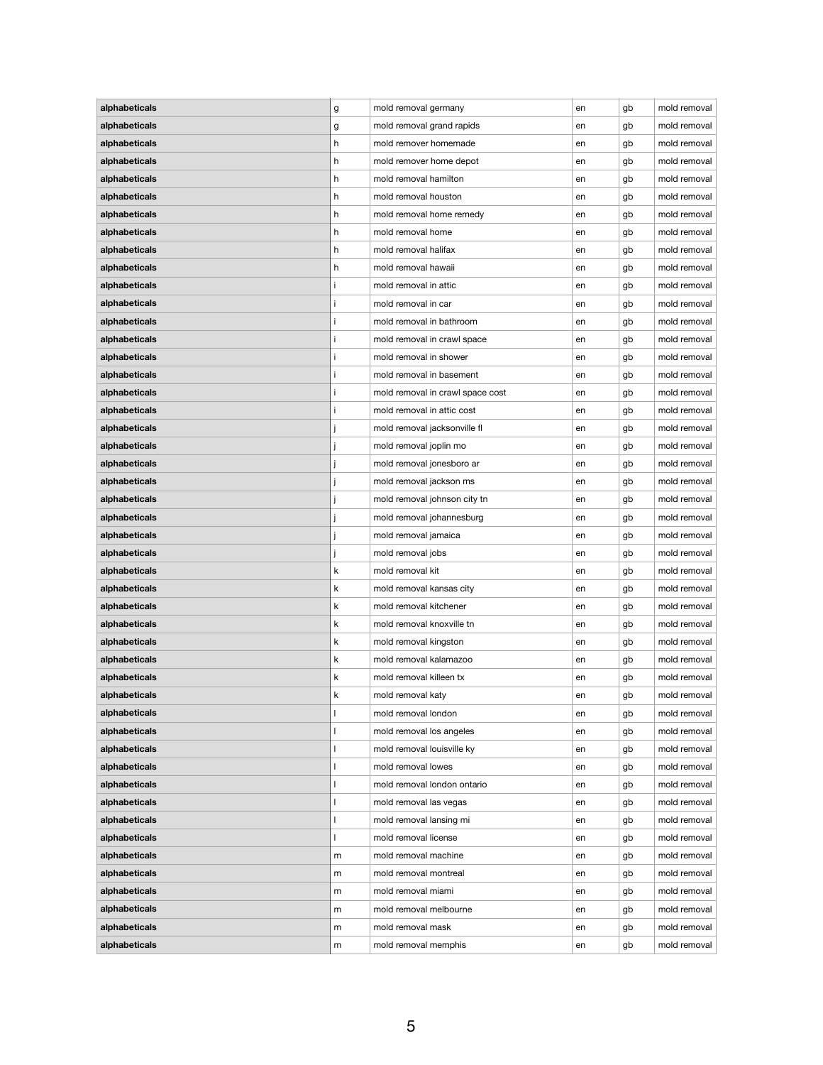| alphabeticals | g  | mold removal germany                         | en | gb | mold removal |
|---------------|----|----------------------------------------------|----|----|--------------|
| alphabeticals | g  | mold removal grand rapids                    | en | gb | mold removal |
| alphabeticals | h. | mold remover homemade                        | en | gb | mold removal |
| alphabeticals | h  | mold remover home depot                      | en | gb | mold removal |
| alphabeticals | h. | mold removal hamilton                        | en | gb | mold removal |
| alphabeticals | h. | mold removal houston                         | en | gb | mold removal |
| alphabeticals | h  | mold removal home remedy                     | en | gb | mold removal |
| alphabeticals | h  | mold removal home                            | en | gb | mold removal |
| alphabeticals | h. | mold removal halifax                         | en | gb | mold removal |
| alphabeticals | h  | mold removal hawaii                          | en | gb | mold removal |
| alphabeticals |    | mold removal in attic                        | en | gb | mold removal |
| alphabeticals |    | mold removal in car                          | en | gb | mold removal |
| alphabeticals |    | mold removal in bathroom                     | en | gb | mold removal |
| alphabeticals |    | mold removal in crawl space                  | en | gb | mold removal |
| alphabeticals |    | mold removal in shower                       | en | gb | mold removal |
| alphabeticals |    | mold removal in basement                     | en | gb | mold removal |
| alphabeticals |    | mold removal in crawl space cost             | en | gb | mold removal |
| alphabeticals |    | mold removal in attic cost                   |    |    | mold removal |
|               |    |                                              | en | gb | mold removal |
| alphabeticals |    | mold removal jacksonville fl                 | en | gb |              |
| alphabeticals |    | mold removal joplin mo                       | en | gb | mold removal |
| alphabeticals |    | mold removal jonesboro ar                    | en | gb | mold removal |
| alphabeticals |    | mold removal jackson ms                      | en | gb | mold removal |
| alphabeticals |    | mold removal johnson city tn                 | en | gb | mold removal |
| alphabeticals |    | mold removal johannesburg                    | en | gb | mold removal |
| alphabeticals |    | mold removal jamaica                         | en | gb | mold removal |
| alphabeticals |    | mold removal jobs                            | en | gb | mold removal |
| alphabeticals | k  | mold removal kit                             | en | gb | mold removal |
| alphabeticals | k  | mold removal kansas city                     | en | gb | mold removal |
| alphabeticals | k  | mold removal kitchener                       | en | gb | mold removal |
| alphabeticals | k  | mold removal knoxville tn                    | en | gb | mold removal |
| alphabeticals | k  | mold removal kingston                        | en | gb | mold removal |
| alphabeticals | k  | mold removal kalamazoo                       | en | gb | mold removal |
| alphabeticals | k  | mold removal killeen tx                      | en | gb | mold removal |
| alphabeticals | k  | mold removal katy                            | en | gb | mold removal |
| alphabeticals |    | mold removal london                          | en | gb | mold removal |
| alphabeticals |    | mold removal los angeles                     | en | gb | mold removal |
| alphabeticals |    | mold removal louisville ky                   | en | gb | mold removal |
| alphabeticals |    | mold removal lowes                           | en | gb | mold removal |
| alphabeticals |    | mold removal london ontario                  | en | gb | mold removal |
| alphabeticals |    | mold removal las vegas                       | en | gb | mold removal |
| alphabeticals |    | mold removal lansing mi                      | en | gb | mold removal |
| alphabeticals |    | mold removal license                         | en | gb | mold removal |
| alphabeticals | m  | mold removal machine                         | en | gb | mold removal |
| alphabeticals | m  | mold removal montreal                        | en | gb | mold removal |
|               |    |                                              |    |    |              |
| alphabeticals | m  | mold removal miami<br>mold removal melbourne | en | gb | mold removal |
| alphabeticals | m  |                                              | en | gb | mold removal |
| alphabeticals | m  | mold removal mask                            | en | gb | mold removal |
| alphabeticals | m  | mold removal memphis                         | en | gb | mold removal |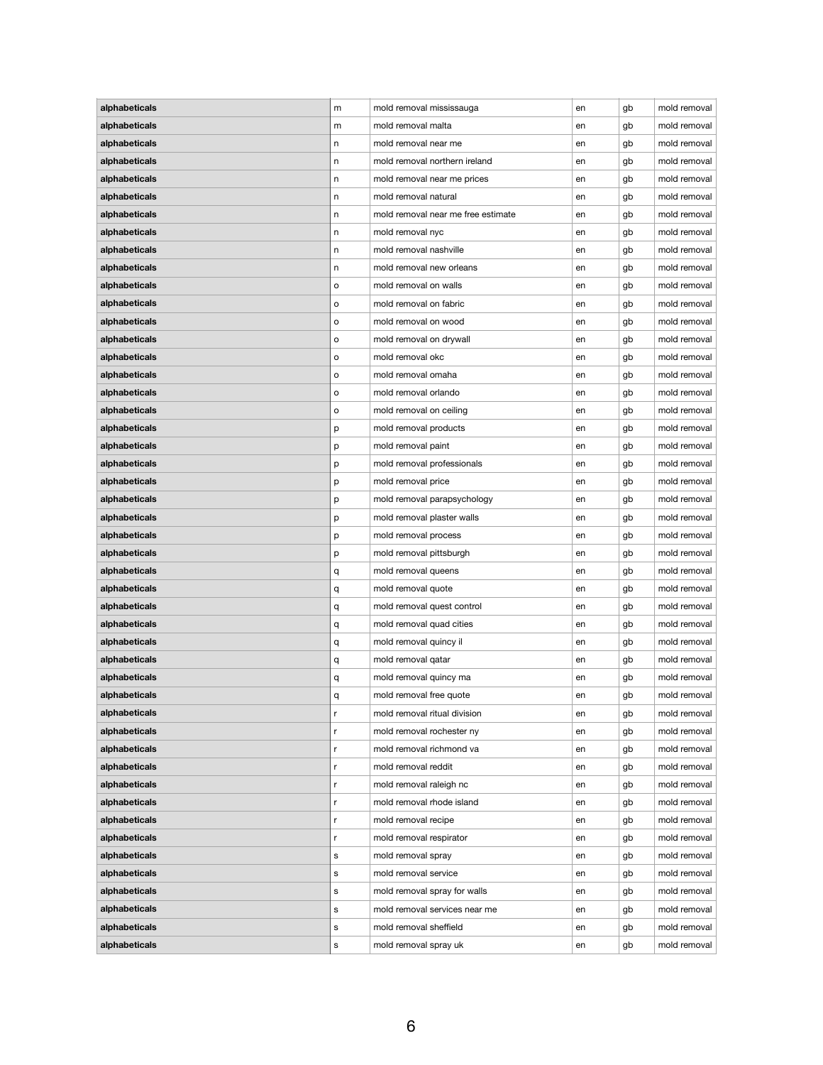| alphabeticals | m       | mold removal mississauga           | en | gb | mold removal                 |
|---------------|---------|------------------------------------|----|----|------------------------------|
| alphabeticals | m       | mold removal malta                 | en | gb | mold removal                 |
| alphabeticals | n.      | mold removal near me               | en | gb | mold removal                 |
| alphabeticals | n       | mold removal northern ireland      | en | gb | mold removal                 |
| alphabeticals | n       | mold removal near me prices        | en | gb | mold removal                 |
| alphabeticals | n       | mold removal natural               | en | gb | mold removal                 |
| alphabeticals | n       | mold removal near me free estimate | en | gb | mold removal                 |
| alphabeticals | n       | mold removal nyc                   | en | gb | mold removal                 |
| alphabeticals | n       | mold removal nashville             | en | gb | mold removal                 |
| alphabeticals | n       | mold removal new orleans           | en | gb | mold removal                 |
| alphabeticals | $\circ$ | mold removal on walls              | en | gb | mold removal                 |
| alphabeticals | o       | mold removal on fabric             | en | gb | mold removal                 |
| alphabeticals | o       | mold removal on wood               | en | gb | mold removal                 |
| alphabeticals | $\circ$ | mold removal on drywall            | en | gb | mold removal                 |
| alphabeticals | o       | mold removal okc                   | en | gb | mold removal                 |
| alphabeticals | o       | mold removal omaha                 | en | gb | mold removal                 |
| alphabeticals | $\circ$ | mold removal orlando               | en | gb | mold removal                 |
| alphabeticals | o       | mold removal on ceiling            | en | gb | mold removal                 |
| alphabeticals | р       | mold removal products              | en | gb | mold removal                 |
| alphabeticals | p       | mold removal paint                 | en | gb | mold removal                 |
| alphabeticals | p       | mold removal professionals         | en | gb | mold removal                 |
| alphabeticals |         | mold removal price                 | en | gb | mold removal                 |
| alphabeticals | р       | mold removal parapsychology        | en | gb | mold removal                 |
| alphabeticals | p       | mold removal plaster walls         | en |    | mold removal                 |
| alphabeticals | p       | mold removal process               |    | gb | mold removal                 |
|               | р       | mold removal pittsburgh            | en | gb |                              |
| alphabeticals | p       |                                    | en | gb | mold removal<br>mold removal |
| alphabeticals | q       | mold removal queens                | en | gb |                              |
| alphabeticals | q       | mold removal quote                 | en | gb | mold removal                 |
| alphabeticals | q       | mold removal quest control         | en | gb | mold removal                 |
| alphabeticals | q       | mold removal quad cities           | en | gb | mold removal                 |
| alphabeticals | q       | mold removal quincy il             | en | gb | mold removal                 |
| alphabeticals | q       | mold removal qatar                 | en | gb | mold removal                 |
| alphabeticals | q       | mold removal quincy ma             | en | gb | mold removal                 |
| alphabeticals | q       | mold removal free quote            | en | gb | mold removal                 |
| alphabeticals | r       | mold removal ritual division       | en | gb | mold removal                 |
| alphabeticals | r       | mold removal rochester ny          | en | gb | mold removal                 |
| alphabeticals | r       | mold removal richmond va           | en | gb | mold removal                 |
| alphabeticals | r       | mold removal reddit                | en | gb | mold removal                 |
| alphabeticals | r       | mold removal raleigh nc            | en | gb | mold removal                 |
| alphabeticals | r       | mold removal rhode island          | en | gb | mold removal                 |
| alphabeticals | r       | mold removal recipe                | en | gb | mold removal                 |
| alphabeticals | r       | mold removal respirator            | en | gb | mold removal                 |
| alphabeticals | S       | mold removal spray                 | en | gb | mold removal                 |
| alphabeticals | s       | mold removal service               | en | gb | mold removal                 |
| alphabeticals | s       | mold removal spray for walls       | en | gb | mold removal                 |
| alphabeticals | s       | mold removal services near me      | en | gb | mold removal                 |
| alphabeticals | s       | mold removal sheffield             | en | gb | mold removal                 |
| alphabeticals | s       | mold removal spray uk              | en | gb | mold removal                 |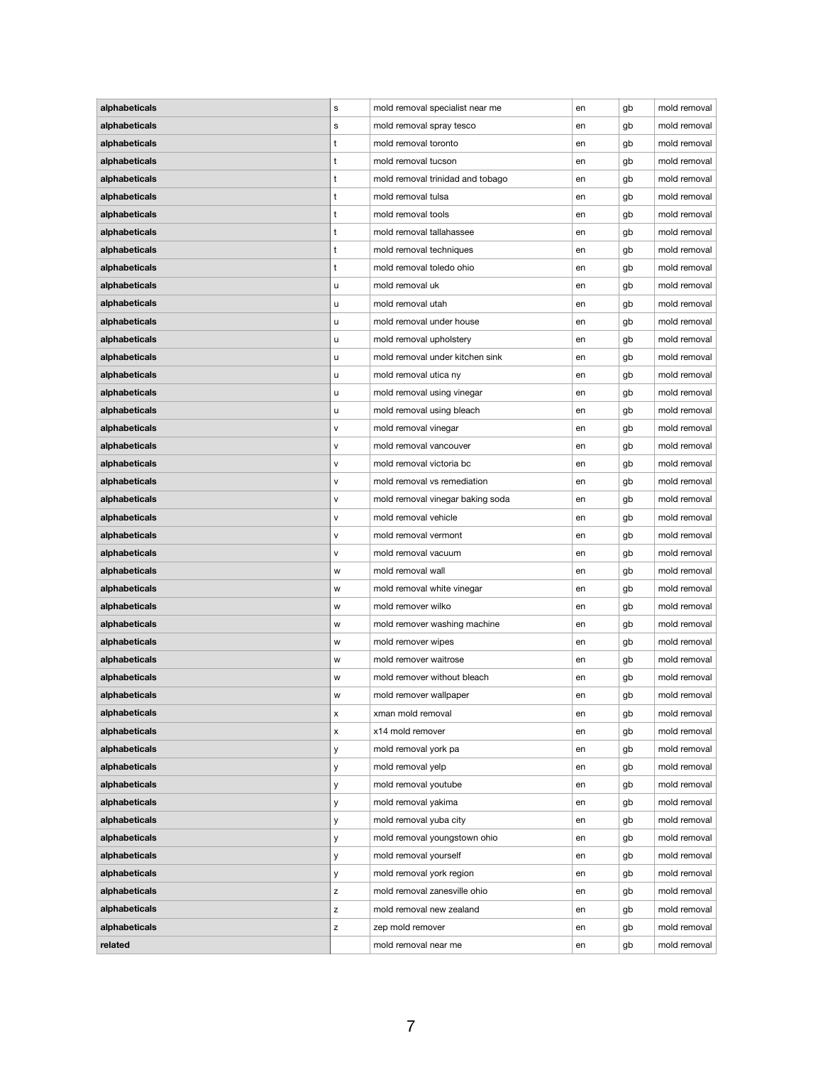| alphabeticals | s                         | mold removal specialist near me  | en | gb | mold removal |
|---------------|---------------------------|----------------------------------|----|----|--------------|
| alphabeticals | s                         | mold removal spray tesco         | en | gb | mold removal |
| alphabeticals | t                         | mold removal toronto             | en | gb | mold removal |
| alphabeticals | t                         | mold removal tucson              | en | gb | mold removal |
| alphabeticals | t                         | mold removal trinidad and tobago | en | gb | mold removal |
| alphabeticals | t                         | mold removal tulsa               | en | gb | mold removal |
| alphabeticals | t                         | mold removal tools               | en | gb | mold removal |
| alphabeticals | t                         | mold removal tallahassee         | en | gb | mold removal |
| alphabeticals | t                         | mold removal techniques          | en | gb | mold removal |
| alphabeticals | t                         | mold removal toledo ohio         | en | gb | mold removal |
| alphabeticals | u                         | mold removal uk                  | en | gb | mold removal |
| alphabeticals | u                         | mold removal utah                | en | gb | mold removal |
| alphabeticals | u                         | mold removal under house         | en | gb | mold removal |
| alphabeticals | u                         | mold removal upholstery          | en | gb | mold removal |
| alphabeticals | u                         | mold removal under kitchen sink  | en | gb | mold removal |
|               |                           | mold removal utica ny            |    |    | mold removal |
| alphabeticals | u                         |                                  | en | gb | mold removal |
| alphabeticals | u                         | mold removal using vinegar       | en | gb |              |
| alphabeticals | u                         | mold removal using bleach        | en | gb | mold removal |
| alphabeticals | $\mathsf{v}$              | mold removal vinegar             | en | gb | mold removal |
| alphabeticals | v                         | mold removal vancouver           | en | gb | mold removal |
| alphabeticals | v                         | mold removal victoria bc         | en | gb | mold removal |
| alphabeticals | $\mathsf{v}$              | mold removal vs remediation      | en | gb | mold removal |
| alphabeticals | $\mathsf{v}$              | mold removal vinegar baking soda | en | gb | mold removal |
| alphabeticals | $\mathsf{v}$              | mold removal vehicle             | en | gb | mold removal |
| alphabeticals | $\mathsf{v}$              | mold removal vermont             | en | gb | mold removal |
| alphabeticals | v                         | mold removal vacuum              | en | gb | mold removal |
| alphabeticals | w                         | mold removal wall                | en | gb | mold removal |
| alphabeticals | w                         | mold removal white vinegar       | en | gb | mold removal |
| alphabeticals | w                         | mold remover wilko               | en | gb | mold removal |
| alphabeticals | w                         | mold remover washing machine     | en | gb | mold removal |
| alphabeticals | W                         | mold remover wipes               | en | gb | mold removal |
| alphabeticals | w                         | mold remover waitrose            | en | gb | mold removal |
| alphabeticals | w                         | mold remover without bleach      | en | gb | mold removal |
| alphabeticals | W                         | mold remover wallpaper           | en | gb | mold removal |
| alphabeticals | $\boldsymbol{\mathsf{x}}$ | xman mold removal                | en | gb | mold removal |
| alphabeticals | X                         | x14 mold remover                 | en | gb | mold removal |
| alphabeticals | У                         | mold removal york pa             | en | gb | mold removal |
| alphabeticals | У                         | mold removal yelp                | en | gb | mold removal |
| alphabeticals | У                         | mold removal youtube             | en | gb | mold removal |
| alphabeticals | У                         | mold removal yakima              | en | gb | mold removal |
| alphabeticals | у                         | mold removal yuba city           | en | gb | mold removal |
| alphabeticals | У                         | mold removal youngstown ohio     | en | gb | mold removal |
| alphabeticals | У                         | mold removal yourself            | en | gb | mold removal |
| alphabeticals |                           | mold removal york region         | en | gb | mold removal |
|               | У                         |                                  |    |    |              |
| alphabeticals | Z                         | mold removal zanesville ohio     | en | gb | mold removal |
| alphabeticals | $\mathsf Z$               | mold removal new zealand         | en | gb | mold removal |
| alphabeticals | z                         | zep mold remover                 | en | gb | mold removal |
| related       |                           | mold removal near me             | en | gb | mold removal |